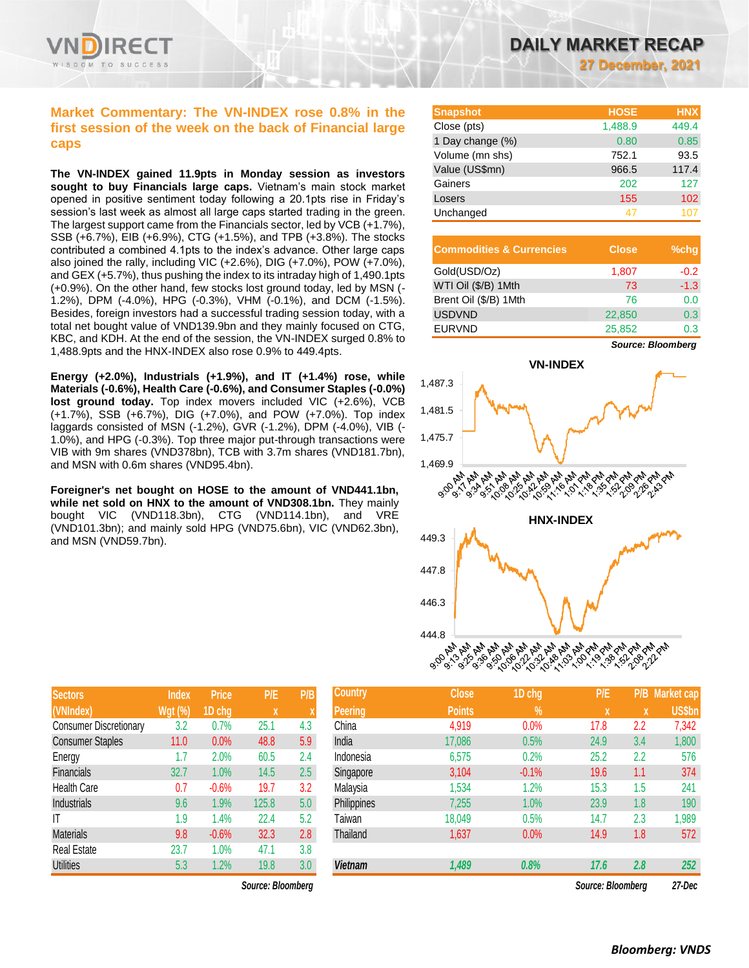

## **Market Commentary: The VN-INDEX rose 0.8% in the first session of the week on the back of Financial large caps**

**The VN-INDEX gained 11.9pts in Monday session as investors sought to buy Financials large caps.** Vietnam's main stock market opened in positive sentiment today following a 20.1pts rise in Friday's session's last week as almost all large caps started trading in the green. The largest support came from the Financials sector, led by VCB (+1.7%), SSB (+6.7%), EIB (+6.9%), CTG (+1.5%), and TPB (+3.8%). The stocks contributed a combined 4.1pts to the index's advance. Other large caps also joined the rally, including VIC (+2.6%), DIG (+7.0%), POW (+7.0%), and GEX (+5.7%), thus pushing the index to its intraday high of 1,490.1pts (+0.9%). On the other hand, few stocks lost ground today, led by MSN (- 1.2%), DPM (-4.0%), HPG (-0.3%), VHM (-0.1%), and DCM (-1.5%). Besides, foreign investors had a successful trading session today, with a total net bought value of VND139.9bn and they mainly focused on CTG, KBC, and KDH. At the end of the session, the VN-INDEX surged 0.8% to 1,488.9pts and the HNX-INDEX also rose 0.9% to 449.4pts.

**Energy (+2.0%), Industrials (+1.9%), and IT (+1.4%) rose, while Materials (-0.6%), Health Care (-0.6%), and Consumer Staples (-0.0%) lost ground today.** Top index movers included VIC (+2.6%), VCB (+1.7%), SSB (+6.7%), DIG (+7.0%), and POW (+7.0%). Top index laggards consisted of MSN (-1.2%), GVR (-1.2%), DPM (-4.0%), VIB (- 1.0%), and HPG (-0.3%). Top three major put-through transactions were VIB with 9m shares (VND378bn), TCB with 3.7m shares (VND181.7bn), and MSN with 0.6m shares (VND95.4bn).

**Foreigner's net bought on HOSE to the amount of VND441.1bn, while net sold on HNX to the amount of VND308.1bn.** They mainly bought VIC (VND118.3bn), CTG (VND114.1bn), and VRE (VND101.3bn); and mainly sold HPG (VND75.6bn), VIC (VND62.3bn), and MSN (VND59.7bn).

| <b>Sectors</b>                | <b>Index</b>   | Price   | P/E   | P/B |
|-------------------------------|----------------|---------|-------|-----|
| (VNIndex)                     | <b>Wgt (%)</b> | 1D chg  | X     | X   |
| <b>Consumer Discretionary</b> | 3.2            | 0.7%    | 25.1  | 4.3 |
| <b>Consumer Staples</b>       | 11.0           | 0.0%    | 48.8  | 5.9 |
| Energy                        | 1.7            | 2.0%    | 60.5  | 2.4 |
| Financials                    | 32.7           | 1.0%    | 14.5  | 2.5 |
| <b>Health Care</b>            | 0.7            | $-0.6%$ | 19.7  | 3.2 |
| Industrials                   | 9.6            | 1.9%    | 125.8 | 5.0 |
| ΙT                            | 1.9            | 1.4%    | 22.4  | 5.2 |
| <b>Materials</b>              | 9.8            | $-0.6%$ | 32.3  | 2.8 |
| <b>Real Estate</b>            | 23.7           | 1.0%    | 47.1  | 3.8 |
| <b>Utilities</b>              | 5.3            | 1.2%    | 19.8  | 3.0 |

 $Source: Bloomberg$ 

| <b>Snapshot</b>  | <b>HOSE</b> | <b>HNX</b> |
|------------------|-------------|------------|
| Close (pts)      | 1,488.9     | 449.4      |
| 1 Day change (%) | 0.80        | 0.85       |
| Volume (mn shs)  | 752.1       | 93.5       |
| Value (US\$mn)   | 966.5       | 117.4      |
| Gainers          | 202         | 127        |
| Losers           | 155         | 102        |
| Unchanged        | 47          | 107        |

| <b>Commodities &amp; Currencies</b> | <b>Close</b> | $%$ chg |
|-------------------------------------|--------------|---------|
| Gold(USD/Oz)                        | 1,807        | $-0.2$  |
| WTI Oil (\$/B) 1Mth                 | 73           | $-1.3$  |
| Brent Oil (\$/B) 1Mth               | 76           | 0.0     |
| <b>USDVND</b>                       | 22,850       | 0.3     |
| <b>EURVND</b>                       | 25,852       | 0.3     |

*Source: Bloomberg*



| <b>Sectors</b>                | <b>Index</b>   | <b>Price</b> | P/E               | P/B' | <b>Country</b> | <b>Close</b>  | 1D chg  | P/E               | P/B : | <b>Market cap</b> |
|-------------------------------|----------------|--------------|-------------------|------|----------------|---------------|---------|-------------------|-------|-------------------|
| (VNIndex)                     | <b>Wgt (%)</b> | 1D chg       | X                 |      | <b>Peering</b> | <b>Points</b> | $\%$    |                   | X     | <b>US\$bn</b>     |
| <b>Consumer Discretionary</b> | 3.2            | 0.7%         | 25.1              | 4.3  | China          | 4,919         | 0.0%    | 17.8              | 2.2   | 7,342             |
| <b>Consumer Staples</b>       | 11.0           | 0.0%         | 48.8              | 5.9  | India          | 17,086        | 0.5%    | 24.9              | 3.4   | 1,800             |
| Energy                        | 1.7            | 2.0%         | 60.5              | 2.4  | Indonesia      | 6,575         | 0.2%    | 25.2              | 2.2   | 576               |
| <b>Financials</b>             | 32.7           | 1.0%         | 14.5              | 2.5  | Singapore      | 3,104         | $-0.1%$ | 19.6              | 1.1   | 374               |
| <b>Health Care</b>            | 0.7            | $-0.6%$      | 19.7              | 3.2  | Malaysia       | 1,534         | 1.2%    | 15.3              | 1.5   | 241               |
| Industrials                   | 9.6            | $1.9\%$      | 125.8             | 5.0  | Philippines    | 7,255         | 1.0%    | 23.9              | 1.8   | 190               |
| ΙT                            | 1.9            | $.4\%$       | 22.4              | 5.2  | Taiwan         | 18,049        | 0.5%    | 14.7              | 2.3   | ,989              |
| <b>Materials</b>              | 9.8            | $-0.6%$      | 32.3              | 2.8  | Thailand       | 1,637         | 0.0%    | 14.9              | 1.8   | 572               |
| Real Estate                   | 23.7           | $.0\%$       | 47.1              | 3.8  |                |               |         |                   |       |                   |
| <b>Utilities</b>              | 5.3            | 1.2%         | 19.8              | 3.0  | <b>Vietnam</b> | 1,489         | 0.8%    | 17.6              | 2.8   | 252               |
|                               |                |              | Source: Bloomberg |      |                |               |         | Source: Bloomberg |       | 27-Dec            |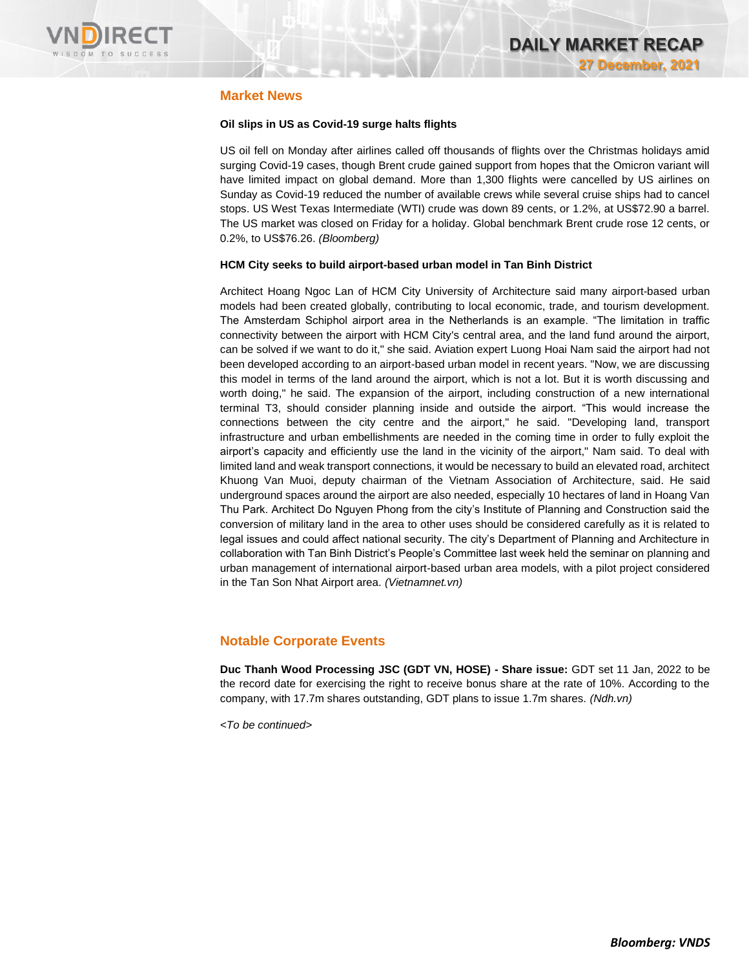

## **Market News**

### **Oil slips in US as Covid-19 surge halts flights**

US oil fell on Monday after airlines called off thousands of flights over the Christmas holidays amid surging Covid-19 cases, though Brent crude gained support from hopes that the Omicron variant will have limited impact on global demand. More than 1,300 flights were cancelled by US airlines on Sunday as Covid-19 reduced the number of available crews while several cruise ships had to cancel stops. US West Texas Intermediate (WTI) crude was down 89 cents, or 1.2%, at US\$72.90 a barrel. The US market was closed on Friday for a holiday. Global benchmark Brent crude rose 12 cents, or 0.2%, to US\$76.26. *(Bloomberg)*

### **HCM City seeks to build airport-based urban model in Tan Binh District**

Architect Hoang Ngoc Lan of HCM City University of Architecture said many airport-based urban models had been created globally, contributing to local economic, trade, and tourism development. The Amsterdam Schiphol airport area in the Netherlands is an example. "The limitation in traffic connectivity between the airport with HCM City's central area, and the land fund around the airport, can be solved if we want to do it," she said. Aviation expert Luong Hoai Nam said the airport had not been developed according to an airport-based urban model in recent years. "Now, we are discussing this model in terms of the land around the airport, which is not a lot. But it is worth discussing and worth doing," he said. The expansion of the airport, including construction of a new international terminal T3, should consider planning inside and outside the airport. "This would increase the connections between the city centre and the airport," he said. "Developing land, transport infrastructure and urban embellishments are needed in the coming time in order to fully exploit the airport's capacity and efficiently use the land in the vicinity of the airport," Nam said. To deal with limited land and weak transport connections, it would be necessary to build an elevated road, architect Khuong Van Muoi, deputy chairman of the Vietnam Association of Architecture, said. He said underground spaces around the airport are also needed, especially 10 hectares of land in Hoang Van Thu Park. Architect Do Nguyen Phong from the city's Institute of Planning and Construction said the conversion of military land in the area to other uses should be considered carefully as it is related to legal issues and could affect national security. The city's Department of Planning and Architecture in collaboration with Tan Binh District's People's Committee last week held the seminar on planning and urban management of international airport-based urban area models, with a pilot project considered in the Tan Son Nhat Airport area. *(Vietnamnet.vn)*

# **Notable Corporate Events**

**Duc Thanh Wood Processing JSC (GDT VN, HOSE) - Share issue:** GDT set 11 Jan, 2022 to be the record date for exercising the right to receive bonus share at the rate of 10%. According to the company, with 17.7m shares outstanding, GDT plans to issue 1.7m shares. *(Ndh.vn)*

*<To be continued>*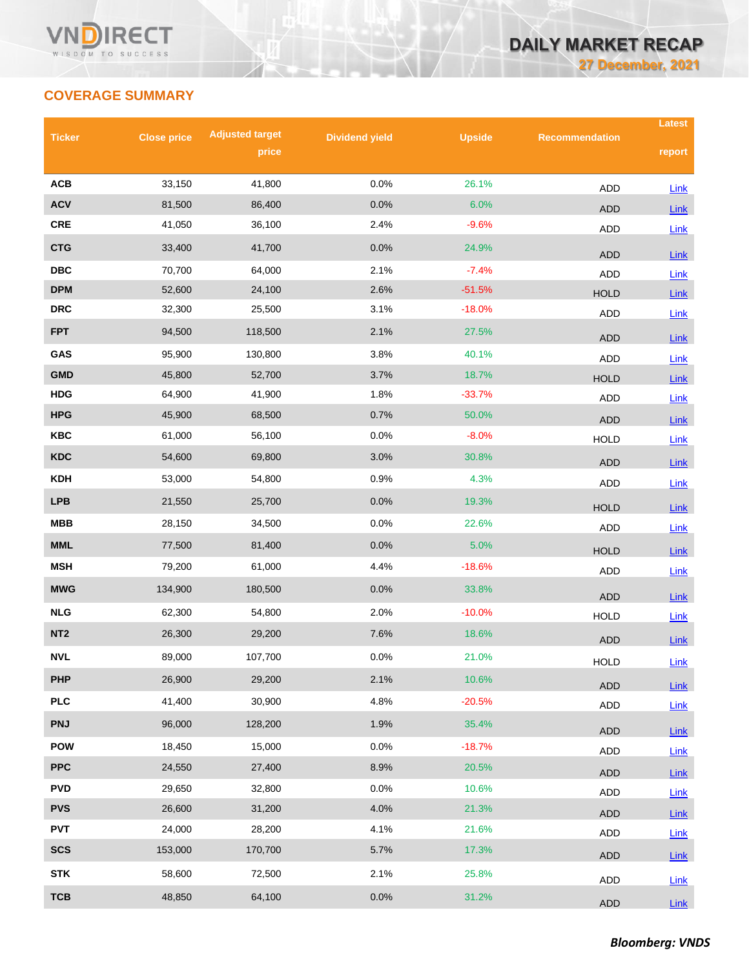# **COVERAGE SUMMARY**

| <b>Ticker</b>                               | <b>Close price</b> | <b>Adjusted target</b> | <b>Dividend yield</b> | <b>Upside</b> | <b>Recommendation</b>     | <b>Latest</b>       |
|---------------------------------------------|--------------------|------------------------|-----------------------|---------------|---------------------------|---------------------|
|                                             |                    | price                  |                       |               |                           | report              |
| <b>ACB</b>                                  | 33,150             | 41,800                 | 0.0%                  | 26.1%         |                           |                     |
| <b>ACV</b>                                  | 81,500             | 86,400                 | 0.0%                  | 6.0%          | <b>ADD</b>                | <b>Link</b>         |
| <b>CRE</b>                                  | 41,050             | 36,100                 | 2.4%                  | $-9.6%$       | <b>ADD</b><br><b>ADD</b>  | Link<br>Link        |
| <b>CTG</b>                                  | 33,400             | 41,700                 | 0.0%                  | 24.9%         |                           |                     |
| $\overline{\mathbf{D}}\mathbf{B}\mathbf{C}$ | 70,700             | 64,000                 | 2.1%                  | $-7.4%$       | <b>ADD</b>                | Link                |
| <b>DPM</b>                                  | 52,600             | 24,100                 | 2.6%                  | $-51.5%$      | <b>ADD</b><br><b>HOLD</b> | Link<br>Link        |
| <b>DRC</b>                                  | 32,300             | 25,500                 | 3.1%                  | $-18.0%$      | ADD                       | <b>Link</b>         |
| <b>FPT</b>                                  | 94,500             | 118,500                | 2.1%                  | 27.5%         |                           |                     |
| GAS                                         | 95,900             | 130,800                | 3.8%                  | 40.1%         | <b>ADD</b><br><b>ADD</b>  | Link<br>Link        |
| <b>GMD</b>                                  | 45,800             | 52,700                 | 3.7%                  | 18.7%         | <b>HOLD</b>               | <b>Link</b>         |
| <b>HDG</b>                                  | 64,900             | 41,900                 | 1.8%                  | $-33.7%$      | <b>ADD</b>                | Link                |
| <b>HPG</b>                                  | 45,900             | 68,500                 | 0.7%                  | 50.0%         | <b>ADD</b>                | Link                |
| <b>KBC</b>                                  | 61,000             | 56,100                 | 0.0%                  | $-8.0%$       | <b>HOLD</b>               | Link                |
| <b>KDC</b>                                  | 54,600             | 69,800                 | 3.0%                  | 30.8%         | <b>ADD</b>                | Link                |
| <b>KDH</b>                                  | 53,000             | 54,800                 | 0.9%                  | 4.3%          | <b>ADD</b>                | <b>Link</b>         |
| <b>LPB</b>                                  | 21,550             | 25,700                 | 0.0%                  | 19.3%         | <b>HOLD</b>               | Link                |
| <b>MBB</b>                                  | 28,150             | 34,500                 | 0.0%                  | 22.6%         | <b>ADD</b>                | Link                |
| <b>MML</b>                                  | 77,500             | 81,400                 | 0.0%                  | 5.0%          | <b>HOLD</b>               | Link                |
| <b>MSH</b>                                  | 79,200             | 61,000                 | 4.4%                  | $-18.6%$      | <b>ADD</b>                | Link                |
| <b>MWG</b>                                  | 134,900            | 180,500                | 0.0%                  | 33.8%         |                           |                     |
| <b>NLG</b>                                  | 62,300             | 54,800                 | 2.0%                  | $-10.0%$      | <b>ADD</b><br><b>HOLD</b> | Link<br>Link        |
| NT <sub>2</sub>                             | 26,300             | 29,200                 | 7.6%                  | 18.6%         | <b>ADD</b>                |                     |
| <b>NVL</b>                                  | 89,000             | 107,700                | 0.0%                  | 21.0%         | <b>HOLD</b>               | <b>Link</b><br>Link |
| <b>PHP</b>                                  | 26,900             | 29,200                 | 2.1%                  | 10.6%         |                           |                     |
| PLC                                         | 41,400             | 30,900                 | 4.8%                  | $-20.5%$      | <b>ADD</b><br>ADD         | Link<br>Link        |
| <b>PNJ</b>                                  | 96,000             | 128,200                | 1.9%                  | 35.4%         |                           |                     |
| <b>POW</b>                                  | 18,450             | 15,000                 | 0.0%                  | $-18.7%$      | ADD                       | <b>Link</b>         |
| <b>PPC</b>                                  | 24,550             | 27,400                 | 8.9%                  | 20.5%         | ADD                       | Link                |
| <b>PVD</b>                                  | 29,650             | 32,800                 | 0.0%                  | 10.6%         | <b>ADD</b>                | $Link$              |
| <b>PVS</b>                                  | 26,600             | 31,200                 | 4.0%                  | 21.3%         | <b>ADD</b>                | Link                |
| <b>PVT</b>                                  | 24,000             | 28,200                 | 4.1%                  | 21.6%         | <b>ADD</b><br>ADD         | $Link$<br>Link      |
| <b>SCS</b>                                  | 153,000            | 170,700                | 5.7%                  | 17.3%         |                           |                     |
| <b>STK</b>                                  | 58,600             | 72,500                 | 2.1%                  | 25.8%         | ADD                       | $Link$              |
| <b>TCB</b>                                  | 48,850             | 64,100                 | 0.0%                  | 31.2%         | <b>ADD</b>                | $Link$              |
|                                             |                    |                        |                       |               | ADD                       | Link                |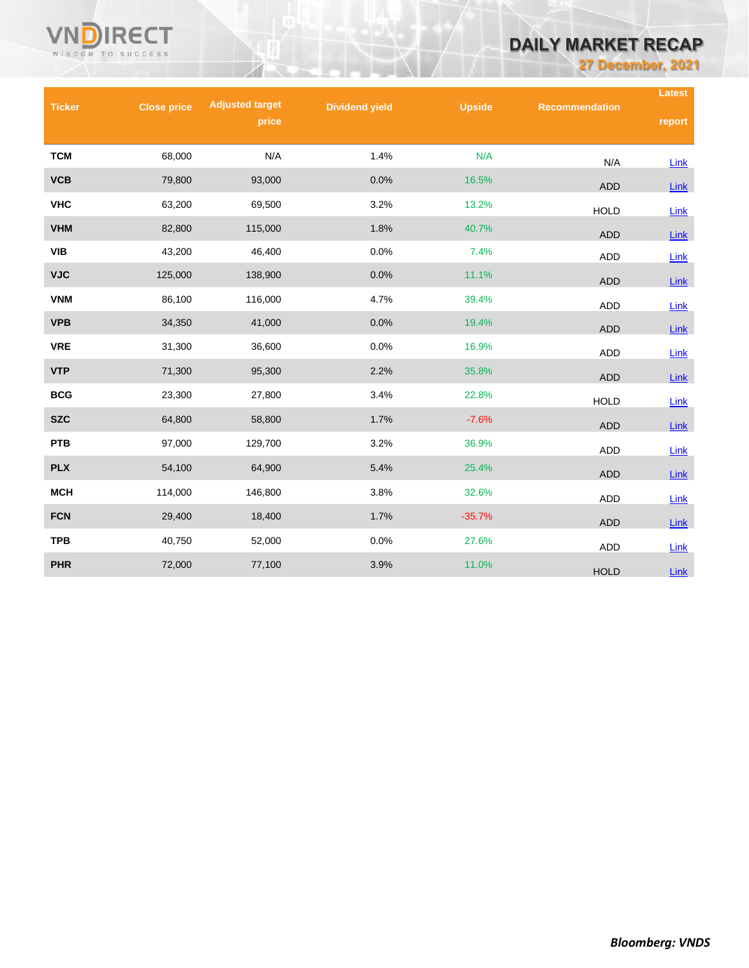# **DAILY MARKET RECAP**

**27 December, 2021**

| <b>Ticker</b> | <b>Close price</b> | <b>Adjusted target</b> | <b>Dividend yield</b> | <b>Upside</b> | <b>Recommendation</b> | <b>Latest</b> |
|---------------|--------------------|------------------------|-----------------------|---------------|-----------------------|---------------|
|               |                    | price                  |                       |               |                       | report        |
| <b>TCM</b>    | 68,000             | N/A                    | 1.4%                  | N/A           |                       |               |
| <b>VCB</b>    | 79,800             | 93,000                 | 0.0%                  | 16.5%         | N/A                   | Link          |
|               |                    |                        |                       |               | <b>ADD</b>            | Link          |
| <b>VHC</b>    | 63,200             | 69,500                 | 3.2%                  | 13.2%         | <b>HOLD</b>           | Link          |
| <b>VHM</b>    | 82,800             | 115,000                | 1.8%                  | 40.7%         | <b>ADD</b>            | Link          |
| <b>VIB</b>    | 43,200             | 46,400                 | 0.0%                  | 7.4%          | <b>ADD</b>            | Link          |
| <b>VJC</b>    | 125,000            | 138,900                | 0.0%                  | 11.1%         | <b>ADD</b>            | <b>Link</b>   |
| <b>VNM</b>    | 86,100             | 116,000                | 4.7%                  | 39.4%         | <b>ADD</b>            | Link          |
| <b>VPB</b>    | 34,350             | 41,000                 | 0.0%                  | 19.4%         | <b>ADD</b>            | Link          |
| <b>VRE</b>    | 31,300             | 36,600                 | 0.0%                  | 16.9%         | <b>ADD</b>            | Link          |
| <b>VTP</b>    | 71,300             | 95,300                 | 2.2%                  | 35.8%         | <b>ADD</b>            | Link          |
| <b>BCG</b>    | 23,300             | 27,800                 | 3.4%                  | 22.8%         | <b>HOLD</b>           | Link          |
| <b>SZC</b>    | 64,800             | 58,800                 | 1.7%                  | $-7.6%$       | <b>ADD</b>            | Link          |
| <b>PTB</b>    | 97,000             | 129,700                | 3.2%                  | 36.9%         | ADD                   | Link          |
| <b>PLX</b>    | 54,100             | 64,900                 | 5.4%                  | 25.4%         | <b>ADD</b>            | Link          |
| <b>MCH</b>    | 114,000            | 146,800                | 3.8%                  | 32.6%         | <b>ADD</b>            | Link          |
| <b>FCN</b>    | 29,400             | 18,400                 | 1.7%                  | $-35.7%$      | <b>ADD</b>            | Link          |
| <b>TPB</b>    | 40,750             | 52,000                 | 0.0%                  | 27.6%         | ADD                   | Link          |
| <b>PHR</b>    | 72,000             | 77,100                 | 3.9%                  | 11.0%         | <b>HOLD</b>           | Link          |

VNÑ

**RECT** 

WISDOM TO SUCCESS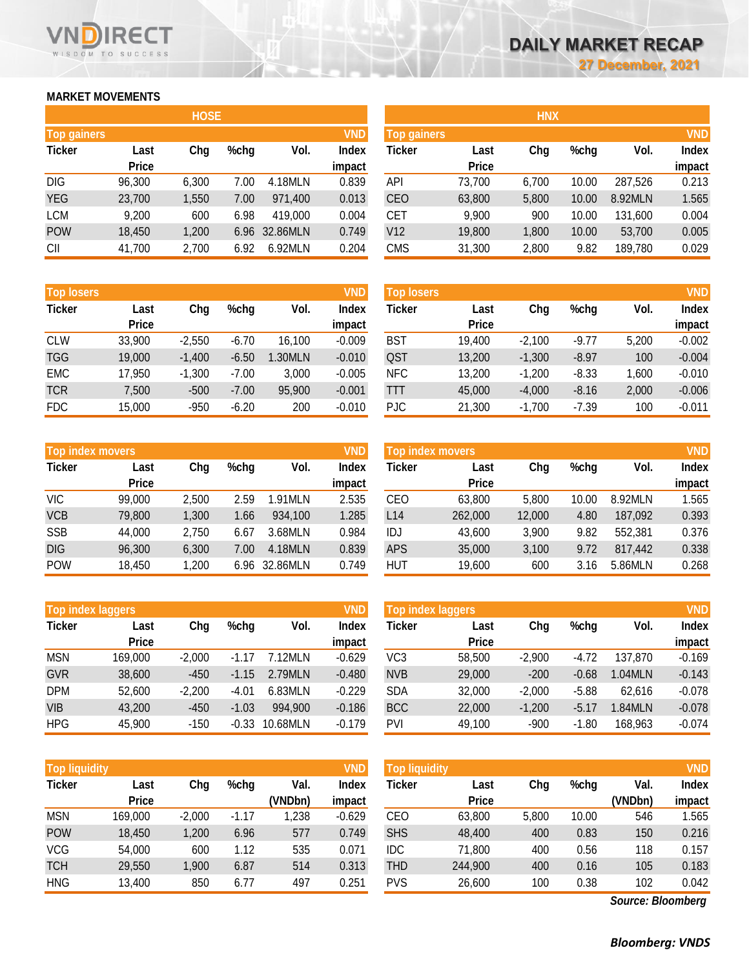# **MARKET MOVEMENTS**

WISDOM TO SUCCESS

RECT

|                    | <b>HOSE</b>  |       |         |          |              |  |  |  |  |  |
|--------------------|--------------|-------|---------|----------|--------------|--|--|--|--|--|
| <b>Top gainers</b> |              |       |         |          | <b>VND</b>   |  |  |  |  |  |
| <b>Ticker</b>      | Last         | Chg   | $%$ chg | Vol.     | <b>Index</b> |  |  |  |  |  |
|                    | <b>Price</b> |       |         |          | impact       |  |  |  |  |  |
| <b>DIG</b>         | 96,300       | 6,300 | 7.00    | 4.18MLN  | 0.839        |  |  |  |  |  |
| <b>YEG</b>         | 23,700       | 1,550 | 7.00    | 971,400  | 0.013        |  |  |  |  |  |
| <b>LCM</b>         | 9,200        | 600   | 6.98    | 419,000  | 0.004        |  |  |  |  |  |
| <b>POW</b>         | 18,450       | 1,200 | 6.96    | 32.86MLN | 0.749        |  |  |  |  |  |
| CII                | 41,700       | 2,700 | 6.92    | 6.92MLN  | 0.204        |  |  |  |  |  |

| <b>Top losers</b> |              |          |         |         | <b>VND</b>   |
|-------------------|--------------|----------|---------|---------|--------------|
| <b>Ticker</b>     | Last         | Chg      | $%$ chg | Vol.    | <b>Index</b> |
|                   | <b>Price</b> |          |         |         | impact       |
| <b>CLW</b>        | 33,900       | $-2,550$ | $-6.70$ | 16,100  | $-0.009$     |
| <b>TGG</b>        | 19,000       | $-1,400$ | $-6.50$ | 1.30MLN | $-0.010$     |
| <b>EMC</b>        | 17,950       | $-1,300$ | $-7.00$ | 3,000   | $-0.005$     |
| <b>TCR</b>        | 7,500        | $-500$   | $-7.00$ | 95,900  | $-0.001$     |
| <b>FDC</b>        | 15,000       | $-950$   | $-6.20$ | 200     | $-0.010$     |

|               | <b>Top index movers</b> |       |         |          |              |  |  |  |
|---------------|-------------------------|-------|---------|----------|--------------|--|--|--|
| <b>Ticker</b> | Last                    | Chg   | $%$ chg | Vol.     | <b>Index</b> |  |  |  |
|               | <b>Price</b>            |       |         |          | impact       |  |  |  |
| VIC           | 99,000                  | 2,500 | 2.59    | 1.91MLN  | 2.535        |  |  |  |
| <b>VCB</b>    | 79,800                  | 1,300 | 1.66    | 934,100  | 1.285        |  |  |  |
| <b>SSB</b>    | 44,000                  | 2,750 | 6.67    | 3.68MLN  | 0.984        |  |  |  |
| <b>DIG</b>    | 96,300                  | 6,300 | 7.00    | 4.18MLN  | 0.839        |  |  |  |
| <b>POW</b>    | 18,450                  | 1,200 | 6.96    | 32.86MLN | 0.749        |  |  |  |

| <b>Top index laggers</b> |              |          |         |          |              |  |  |
|--------------------------|--------------|----------|---------|----------|--------------|--|--|
| <b>Ticker</b>            | Last         | Chg      | $%$ chg | Vol.     | <b>Index</b> |  |  |
|                          | <b>Price</b> |          |         |          | impact       |  |  |
| <b>MSN</b>               | 169,000      | $-2,000$ | $-1.17$ | 7.12MLN  | $-0.629$     |  |  |
| <b>GVR</b>               | 38,600       | $-450$   | $-1.15$ | 2.79MLN  | $-0.480$     |  |  |
| <b>DPM</b>               | 52,600       | $-2,200$ | $-4.01$ | 6.83MLN  | $-0.229$     |  |  |
| <b>VIB</b>               | 43,200       | $-450$   | $-1.03$ | 994,900  | $-0.186$     |  |  |
| <b>HPG</b>               | 45,900       | $-150$   | $-0.33$ | 10.68MLN | $-0.179$     |  |  |

| <b>Top liquidity</b> |              |          |         |         | <b>VND</b>   |
|----------------------|--------------|----------|---------|---------|--------------|
| <b>Ticker</b>        | Last         | Chq      | $%$ chg | Val.    | <b>Index</b> |
|                      | <b>Price</b> |          |         | (VNDbn) | impact       |
| <b>MSN</b>           | 169,000      | $-2,000$ | $-1.17$ | 1,238   | $-0.629$     |
| <b>POW</b>           | 18,450       | 1,200    | 6.96    | 577     | 0.749        |
| <b>VCG</b>           | 54,000       | 600      | 1.12    | 535     | 0.071        |
| TCH                  | 29,550       | 1,900    | 6.87    | 514     | 0.313        |
| <b>HNG</b>           | 13,400       | 850      | 6.77    | 497     | 0.251        |

|                    |              | <b>HOSE</b> |         |               |              |                    |              | <b>HNX</b> |         |         |              |
|--------------------|--------------|-------------|---------|---------------|--------------|--------------------|--------------|------------|---------|---------|--------------|
| <b>Top gainers</b> |              |             |         |               | VND          | <b>Top gainers</b> |              |            |         |         | <b>VND</b>   |
| <b>Ticker</b>      | Last         | Chg         | $%$ chg | Vol.          | <b>Index</b> | Ticker             | Last         | Chg        | $%$ chg | Vol.    | <b>Index</b> |
|                    | <b>Price</b> |             |         |               | impact       |                    | <b>Price</b> |            |         |         | impact       |
| DIG                | 96,300       | 6,300       | 7.00    | 4.18MLN       | 0.839        | API                | 73,700       | 6.700      | 10.00   | 287,526 | 0.213        |
| YEG                | 23,700       | 1,550       | 7.00    | 971,400       | 0.013        | CEO                | 63,800       | 5,800      | 10.00   | 8.92MLN | 1.565        |
| LCM                | 9,200        | 600         | 6.98    | 419,000       | 0.004        | CET                | 9,900        | 900        | 10.00   | 131,600 | 0.004        |
| POW                | 18,450       | 1,200       |         | 6.96 32.86MLN | 0.749        | V12                | 19,800       | 1,800      | 10.00   | 53,700  | 0.005        |
| СII                | 41,700       | 2,700       | 6.92    | 6.92MLN       | 0.204        | <b>CMS</b>         | 31,300       | 2,800      | 9.82    | 189,780 | 0.029        |
|                    |              |             |         |               |              |                    |              |            |         |         |              |

| <b>Top losers</b> |              |          |         |         | VND      | <b>Top losers</b> |              |          |         |       | <b>VND</b>   |
|-------------------|--------------|----------|---------|---------|----------|-------------------|--------------|----------|---------|-------|--------------|
| Ticker            | Last         | Chg      | $%$ chg | Vol.    | Index    | Ticker            | Last         | Chg      | %chg    | Vol.  | <b>Index</b> |
|                   | <b>Price</b> |          |         |         | impact   |                   | <b>Price</b> |          |         |       | impact       |
| <b>CLW</b>        | 33,900       | $-2,550$ | $-6.70$ | 16,100  | $-0.009$ | <b>BST</b>        | 19,400       | $-2,100$ | $-9.77$ | 5.200 | $-0.002$     |
| TGG               | 19,000       | $-1,400$ | $-6.50$ | 1.30MLN | $-0.010$ | QST               | 13,200       | $-1,300$ | $-8.97$ | 100   | $-0.004$     |
| <b>EMC</b>        | 17,950       | $-1,300$ | $-7.00$ | 3.000   | $-0.005$ | <b>NFC</b>        | 13,200       | $-1.200$ | $-8.33$ | 1.600 | $-0.010$     |
| <b>TCR</b>        | 7,500        | $-500$   | $-7.00$ | 95,900  | $-0.001$ | TTT               | 45,000       | $-4,000$ | $-8.16$ | 2,000 | $-0.006$     |
| <b>FDC</b>        | 15,000       | $-950$   | $-6.20$ | 200     | $-0.010$ | PJC               | 21,300       | $-1,700$ | $-7.39$ | 100   | $-0.011$     |

|            | VND<br>Top index movers |       |         |               |        |        | <b>Top index movers</b> |        |       |         |              |  |
|------------|-------------------------|-------|---------|---------------|--------|--------|-------------------------|--------|-------|---------|--------------|--|
| Ticker     | Last                    | Chg   | $%$ chg | Vol.          | Index  | Ticker | Last                    | Chg    | %chg  | Vol.    | <b>Index</b> |  |
|            | <b>Price</b>            |       |         |               | impact |        | <b>Price</b>            |        |       |         | impact       |  |
| VIC        | 99,000                  | 2,500 | 2.59    | 1.91MLN       | 2.535  | CEO    | 63,800                  | 5.800  | 10.00 | 8.92MLN | 1.565        |  |
| <b>VCB</b> | 79,800                  | 1,300 | 1.66    | 934,100       | 1.285  | L14    | 262,000                 | 12,000 | 4.80  | 187,092 | 0.393        |  |
| SSB        | 44.000                  | 2.750 | 6.67    | 3.68MLN       | 0.984  | IDJ    | 43,600                  | 3.900  | 9.82  | 552,381 | 0.376        |  |
| <b>DIG</b> | 96,300                  | 6,300 | 7.00    | 4.18MLN       | 0.839  | APS    | 35,000                  | 3,100  | 9.72  | 817,442 | 0.338        |  |
| POW        | 18,450                  | 1,200 |         | 6.96 32.86MLN | 0.749  | HUT    | 19,600                  | 600    | 3.16  | 5.86MLN | 0.268        |  |

|            | VND<br>Top index laggers |          |         |          |          |            | Top index laggers |          |         |         |              |  |
|------------|--------------------------|----------|---------|----------|----------|------------|-------------------|----------|---------|---------|--------------|--|
| Ticker     | Last                     | Chg      | %chg    | Vol.     | Index    | Ticker     | Last              | Chg      | $%$ chg | Vol.    | <b>Index</b> |  |
|            | <b>Price</b>             |          |         |          | impact   |            | <b>Price</b>      |          |         |         | impact       |  |
| <b>MSN</b> | 169,000                  | $-2.000$ | $-1.17$ | 7.12MLN  | $-0.629$ | VC3        | 58,500            | $-2.900$ | $-4.72$ | 137,870 | $-0.169$     |  |
| <b>GVR</b> | 38,600                   | $-450$   | $-1.15$ | 2.79MLN  | $-0.480$ | <b>NVB</b> | 29,000            | $-200$   | $-0.68$ | 1.04MLN | $-0.143$     |  |
| DPM        | 52.600                   | $-2,200$ | $-4.01$ | 6.83MLN  | $-0.229$ | <b>SDA</b> | 32,000            | $-2.000$ | $-5.88$ | 62.616  | $-0.078$     |  |
| VIB        | 43.200                   | $-450$   | $-1.03$ | 994.900  | $-0.186$ | <b>BCC</b> | 22,000            | $-1,200$ | $-5.17$ | 1.84MLN | $-0.078$     |  |
| HPG        | 45.900                   | $-150$   | $-0.33$ | 10.68MLN | $-0.179$ | PVI        | 49,100            | -900     | $-1.80$ | 168.963 | $-0.074$     |  |

| <b>Top liquidity</b> |              |          |         |         | VND      | <b>Top liquidity</b> |              |       |       |         | <b>VND</b> |
|----------------------|--------------|----------|---------|---------|----------|----------------------|--------------|-------|-------|---------|------------|
| Ticker               | ∟ast         | Chg      | %chg    | Val.    | Index    | Ticker               | Last         | Chg   | %chg  | Val.    | Index      |
|                      | <b>Price</b> |          |         | (VNDbn) | impact   |                      | <b>Price</b> |       |       | (VNDbn) | impact     |
| <b>MSN</b>           | 169,000      | $-2,000$ | $-1.17$ | ,238    | $-0.629$ | CEO                  | 63,800       | 5,800 | 10.00 | 546     | 1.565      |
| POW                  | 18,450       | 1,200    | 6.96    | 577     | 0.749    | <b>SHS</b>           | 48,400       | 400   | 0.83  | 150     | 0.216      |
| VCG                  | 54,000       | 600      | 1.12    | 535     | 0.071    | IDC                  | 71,800       | 400   | 0.56  | 118     | 0.157      |
| <b>TCH</b>           | 29,550       | 1,900    | 6.87    | 514     | 0.313    | <b>THD</b>           | 244,900      | 400   | 0.16  | 105     | 0.183      |
| HNG                  | 13,400       | 850      | 6.77    | 497     | 0.251    | <b>PVS</b>           | 26,600       | 100   | 0.38  | 102     | 0.042      |

*Source: Bloomberg*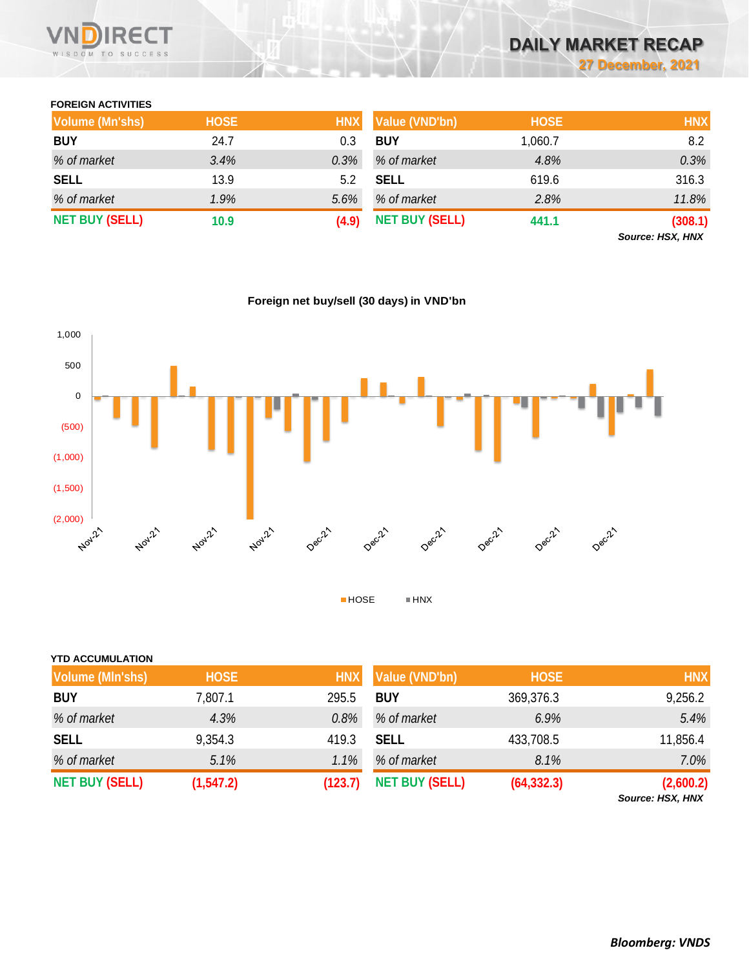

# **DAILY MARKET RECAP 27 December, 2021**

## **FOREIGN ACTIVITIES**

| <b>Volume (Mn'shs)</b> | <b>HOSE</b> | <b>HNX</b> | <b>Value (VND'bn)</b> | <b>HOSE</b> | <b>HNX</b>       |
|------------------------|-------------|------------|-----------------------|-------------|------------------|
| <b>BUY</b>             | 24.7        | 0.3        | <b>BUY</b>            | 1,060.7     | 8.2              |
| % of market            | 3.4%        | 0.3%       | % of market           | 4.8%        | 0.3%             |
| <b>SELL</b>            | 13.9        | 5.2        | <b>SELL</b>           | 619.6       | 316.3            |
| % of market            | 1.9%        | 5.6%       | % of market           | 2.8%        | 11.8%            |
| <b>NET BUY (SELL)</b>  | 10.9        | (4.9)      | <b>NET BUY (SELL)</b> | 441.1       | (308.1)          |
|                        |             |            |                       |             | Source: HSX, HNX |

**Foreign net buy/sell (30 days) in VND'bn**



| <b>YTD ACCUMULATION</b> |             |            |                       |             |            |
|-------------------------|-------------|------------|-----------------------|-------------|------------|
| <b>Volume (MIn'shs)</b> | <b>HOSE</b> | <b>HNX</b> | Value (VND'bn)        | <b>HOSE</b> | <b>HNX</b> |
| <b>BUY</b>              | 7,807.1     | 295.5      | <b>BUY</b>            | 369,376.3   | 9,256.2    |
| % of market             | 4.3%        | 0.8%       | % of market           | 6.9%        | 5.4%       |
| <b>SELL</b>             | 9,354.3     | 419.3      | <b>SELL</b>           | 433,708.5   | 11,856.4   |
| % of market             | 5.1%        | 1.1%       | % of market           | 8.1%        | 7.0%       |
| <b>NET BUY (SELL)</b>   | (1, 547.2)  | (123.7)    | <b>NET BUY (SELL)</b> | (64, 332.3) | (2,600.2)  |

*Source: HSX, HNX*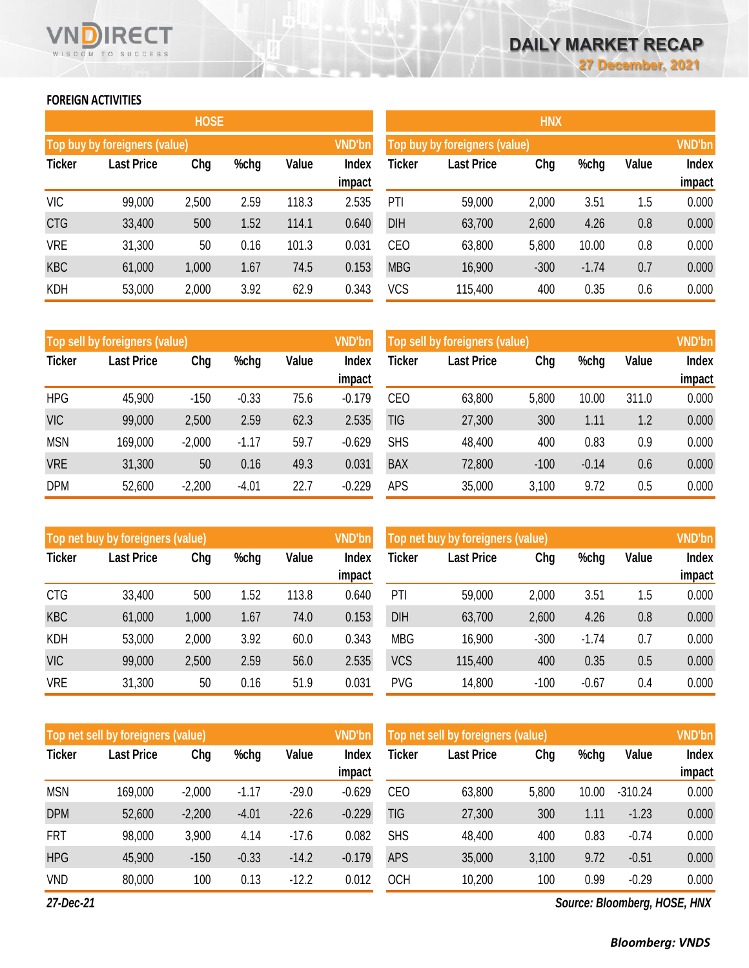# **FOREIGN ACTIVITIES**

WISDOM TO SUCCESS

RECT

|               |                                         | <b>HOSE</b> |      |       |                        | <b>HNX</b> |                               |        |         |       |                        |  |  |
|---------------|-----------------------------------------|-------------|------|-------|------------------------|------------|-------------------------------|--------|---------|-------|------------------------|--|--|
|               | VND'bn<br>Top buy by foreigners (value) |             |      |       |                        |            | Top buy by foreigners (value) |        |         |       |                        |  |  |
| <b>Ticker</b> | <b>Last Price</b>                       | Chg         | %chg | Value | <b>Index</b><br>impact | Ticker     | <b>Last Price</b>             | Chg    | %chg    | Value | <b>Index</b><br>impact |  |  |
| <b>VIC</b>    | 99,000                                  | 2,500       | 2.59 | 118.3 | 2.535                  | PTI        | 59,000                        | 2,000  | 3.51    | 1.5   | 0.000                  |  |  |
| <b>CTG</b>    | 33,400                                  | 500         | 1.52 | 114.1 | 0.640                  | <b>DIH</b> | 63,700                        | 2,600  | 4.26    | 0.8   | 0.000                  |  |  |
| <b>VRE</b>    | 31,300                                  | 50          | 0.16 | 101.3 | 0.031                  | <b>CEO</b> | 63,800                        | 5,800  | 10.00   | 0.8   | 0.000                  |  |  |
| <b>KBC</b>    | 61,000                                  | 1,000       | 1.67 | 74.5  | 0.153                  | <b>MBG</b> | 16,900                        | $-300$ | $-1.74$ | 0.7   | 0.000                  |  |  |
| <b>KDH</b>    | 53,000                                  | 2,000       | 3.92 | 62.9  | 0.343                  | <b>VCS</b> | 115,400                       | 400    | 0.35    | 0.6   | 0.000                  |  |  |

|               | Top sell by foreigners (value) |          |         |       | <b>VND'bn</b>   | Top sell by foreigners (value) |                   |        |         |       |                 |
|---------------|--------------------------------|----------|---------|-------|-----------------|--------------------------------|-------------------|--------|---------|-------|-----------------|
| <b>Ticker</b> | <b>Last Price</b>              | Chg      | %chg    | Value | Index<br>impact | <b>Ticker</b>                  | <b>Last Price</b> | Chg    | %chg    | Value | Index<br>impact |
| <b>HPG</b>    | 45,900                         | $-150$   | $-0.33$ | 75.6  | $-0.179$        | <b>CEO</b>                     | 63,800            | 5,800  | 10.00   | 311.0 | 0.000           |
| <b>VIC</b>    | 99,000                         | 2,500    | 2.59    | 62.3  | 2.535           | TIG                            | 27,300            | 300    | 1.11    | 1.2   | 0.000           |
| <b>MSN</b>    | 169,000                        | $-2,000$ | $-1.17$ | 59.7  | $-0.629$        | <b>SHS</b>                     | 48,400            | 400    | 0.83    | 0.9   | 0.000           |
| <b>VRE</b>    | 31,300                         | 50       | 0.16    | 49.3  | 0.031           | <b>BAX</b>                     | 72,800            | $-100$ | $-0.14$ | 0.6   | 0.000           |
| <b>DPM</b>    | 52,600                         | $-2,200$ | $-4.01$ | 22.7  | $-0.229$        | <b>APS</b>                     | 35,000            | 3,100  | 9.72    | 0.5   | 0.000           |

|               | Top net buy by foreigners (value) |       |      |       | <b>VND'bn</b>   | Top net buy by foreigners (value) |                   | <b>VND'bn</b> |         |       |                 |
|---------------|-----------------------------------|-------|------|-------|-----------------|-----------------------------------|-------------------|---------------|---------|-------|-----------------|
| <b>Ticker</b> | <b>Last Price</b>                 | Chg   | %chg | Value | Index<br>impact | Ticker                            | <b>Last Price</b> | Chg           | %chg    | Value | Index<br>impact |
| <b>CTG</b>    | 33,400                            | 500   | 1.52 | 113.8 | 0.640           | PTI                               | 59,000            | 2,000         | 3.51    | 1.5   | 0.000           |
| <b>KBC</b>    | 61,000                            | 1,000 | 1.67 | 74.0  | 0.153           | <b>DIH</b>                        | 63,700            | 2,600         | 4.26    | 0.8   | 0.000           |
| <b>KDH</b>    | 53,000                            | 2,000 | 3.92 | 60.0  | 0.343           | <b>MBG</b>                        | 16,900            | $-300$        | $-1.74$ | 0.7   | 0.000           |
| <b>VIC</b>    | 99,000                            | 2,500 | 2.59 | 56.0  | 2.535           | <b>VCS</b>                        | 115,400           | 400           | 0.35    | 0.5   | 0.000           |
| <b>VRE</b>    | 31,300                            | 50    | 0.16 | 51.9  | 0.031           | <b>PVG</b>                        | 14,800            | $-100$        | $-0.67$ | 0.4   | 0.000           |

|               | <b>VND'bn</b><br>Top net sell by foreigners (value), |             |         |         |                        |            | Top net sell by foreigners (value) |             |       |           |                        |  |
|---------------|------------------------------------------------------|-------------|---------|---------|------------------------|------------|------------------------------------|-------------|-------|-----------|------------------------|--|
| <b>Ticker</b> | <b>Last Price</b>                                    | Chg<br>%chg |         | Value   | <b>Index</b><br>impact | Ticker     | <b>Last Price</b>                  | Chg<br>%chg |       | Value     | <b>Index</b><br>impact |  |
| <b>MSN</b>    | 169,000                                              | $-2,000$    | $-1.17$ | $-29.0$ | $-0.629$               | <b>CEO</b> | 63,800                             | 5,800       | 10.00 | $-310.24$ | 0.000                  |  |
| <b>DPM</b>    | 52,600                                               | $-2,200$    | $-4.01$ | $-22.6$ | $-0.229$               | <b>TIG</b> | 27,300                             | 300         | 1.11  | $-1.23$   | 0.000                  |  |
| <b>FRT</b>    | 98,000                                               | 3,900       | 4.14    | $-17.6$ | 0.082                  | <b>SHS</b> | 48,400                             | 400         | 0.83  | $-0.74$   | 0.000                  |  |
| <b>HPG</b>    | 45,900                                               | $-150$      | $-0.33$ | $-14.2$ | $-0.179$               | <b>APS</b> | 35,000                             | 3,100       | 9.72  | $-0.51$   | 0.000                  |  |
| <b>VND</b>    | 80,000                                               | 100         | 0.13    | $-12.2$ | 0.012                  | <b>OCH</b> | 10,200                             | 100         | 0.99  | $-0.29$   | 0.000                  |  |

*27-Dec-21*

*Source: Bloomberg, HOSE, HNX*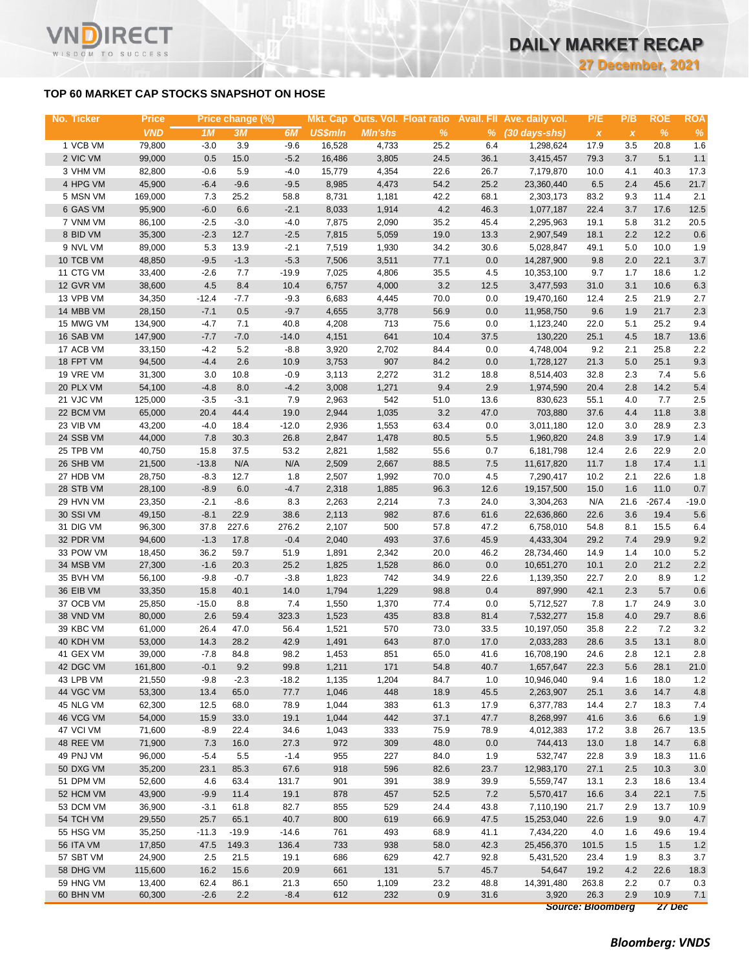### **TOP 60 MARKET CAP STOCKS SNAPSHOT ON HOSE**

T.

WISDOM TO SUCCESS

| No. Ticker | <b>Price</b>     |                | Price change (%) |              |                |                |              |         | Mkt. Cap Outs. Vol. Float ratio Avail. Fll Ave. daily vol. | P/E                       | P/B          | <b>ROE</b>   | <b>ROA</b>         |
|------------|------------------|----------------|------------------|--------------|----------------|----------------|--------------|---------|------------------------------------------------------------|---------------------------|--------------|--------------|--------------------|
|            | <b>VND</b>       | 1M             | 3M               | 6M           | <b>US\$mln</b> | <b>MIn'shs</b> | $\%$         |         | $%$ (30 days-shs)                                          | $\boldsymbol{\mathsf{X}}$ | $\pmb{\chi}$ | $\%$         | $\%$               |
| 1 VCB VM   | 79,800           | $-3.0$         | 3.9              | $-9.6$       | 16,528         | 4,733          | 25.2         | 6.4     | 1,298,624                                                  | 17.9                      | 3.5          | 20.8         | 1.6                |
| 2 VIC VM   | 99,000           | 0.5            | 15.0             | $-5.2$       | 16,486         | 3,805          | 24.5         | 36.1    | 3,415,457                                                  | 79.3                      | 3.7          | 5.1          | $1.1$              |
| 3 VHM VM   | 82,800           | $-0.6$         | 5.9              | $-4.0$       | 15,779         | 4,354          | 22.6         | 26.7    | 7,179,870                                                  | 10.0                      | 4.1          | 40.3         | 17.3               |
| 4 HPG VM   | 45,900           | $-6.4$         | $-9.6$           | $-9.5$       | 8,985          | 4,473          | 54.2         | 25.2    | 23,360,440                                                 | 6.5                       | 2.4          | 45.6         | 21.7               |
| 5 MSN VM   | 169,000          | 7.3            | 25.2             | 58.8         | 8,731          | 1,181          | 42.2         | 68.1    | 2,303,173                                                  | 83.2                      | 9.3          | 11.4         | 2.1                |
| 6 GAS VM   | 95,900           | $-6.0$         | 6.6              | $-2.1$       | 8,033          | 1,914          | 4.2          | 46.3    | 1,077,187                                                  | 22.4                      | 3.7          | 17.6         | 12.5               |
| 7 VNM VM   | 86,100           | $-2.5$         | $-3.0$           | $-4.0$       | 7,875          | 2,090          | 35.2         | 45.4    | 2,295,963                                                  | 19.1                      | 5.8          | 31.2         | 20.5               |
| 8 BID VM   | 35,300           | $-2.3$         | 12.7             | $-2.5$       | 7,815          | 5,059          | 19.0         | 13.3    | 2,907,549                                                  | 18.1                      | 2.2          | 12.2         | $0.6\,$            |
| 9 NVL VM   | 89,000           | 5.3            | 13.9             | $-2.1$       | 7,519          | 1,930          | 34.2         | 30.6    | 5,028,847                                                  | 49.1                      | 5.0          | 10.0         | 1.9                |
| 10 TCB VM  | 48,850           | $-9.5$         | $-1.3$           | $-5.3$       | 7,506          | 3,511          | 77.1         | 0.0     | 14,287,900                                                 | 9.8                       | 2.0          | 22.1         | $3.7\,$            |
| 11 CTG VM  | 33,400           | $-2.6$         | 7.7              | $-19.9$      | 7,025          | 4,806          | 35.5         | 4.5     | 10,353,100                                                 | 9.7                       | 1.7          | 18.6         | $1.2$              |
| 12 GVR VM  | 38,600           | 4.5            | 8.4              | 10.4         | 6,757          | 4,000          | 3.2          | 12.5    | 3,477,593                                                  | 31.0                      | 3.1          | 10.6         | $6.3\,$            |
| 13 VPB VM  | 34,350           | $-12.4$        | $-7.7$           | $-9.3$       | 6,683          | 4,445          | 70.0         | 0.0     | 19,470,160                                                 | 12.4                      | 2.5          | 21.9         | 2.7                |
| 14 MBB VM  | 28,150           | $-7.1$         | 0.5              | $-9.7$       | 4,655          | 3,778          | 56.9         | 0.0     | 11,958,750                                                 | 9.6                       | 1.9          | 21.7         | $2.3\,$            |
| 15 MWG VM  | 134,900          | $-4.7$         | 7.1              | 40.8         | 4,208          | 713            | 75.6         | 0.0     | 1,123,240                                                  | 22.0                      | 5.1          | 25.2         | 9.4                |
| 16 SAB VM  | 147,900          | $-7.7$         | $-7.0$           | $-14.0$      | 4,151          | 641            | 10.4         | 37.5    | 130,220                                                    | 25.1                      | 4.5          | 18.7         | 13.6               |
| 17 ACB VM  | 33,150           | $-4.2$         | 5.2              | $-8.8$       | 3,920          | 2,702          | 84.4         | 0.0     | 4,748,004                                                  | 9.2                       | 2.1          | 25.8         | 2.2                |
| 18 FPT VM  | 94,500           | $-4.4$         | 2.6              | 10.9         | 3,753          | 907            | 84.2         | 0.0     | 1,728,127                                                  | 21.3                      | 5.0          | 25.1         | 9.3                |
| 19 VRE VM  | 31,300           | 3.0            | 10.8             | $-0.9$       | 3,113          | 2,272          | 31.2         | 18.8    | 8,514,403                                                  | 32.8                      | 2.3          | 7.4          | 5.6                |
| 20 PLX VM  | 54,100           | $-4.8$         | 8.0              | $-4.2$       | 3,008          | 1,271          | 9.4          | 2.9     | 1,974,590                                                  | 20.4                      | 2.8          | 14.2         | $5.4\,$            |
| 21 VJC VM  | 125,000          | $-3.5$         | $-3.1$           | 7.9          | 2,963          | 542            | 51.0         | 13.6    | 830,623                                                    | 55.1                      | 4.0          | 7.7          | $2.5\,$            |
| 22 BCM VM  | 65,000           | 20.4           | 44.4             | 19.0         | 2,944          | 1,035          | 3.2          | 47.0    | 703,880                                                    | 37.6                      | 4.4          | 11.8         | $3.8\,$            |
| 23 VIB VM  | 43,200           | $-4.0$         | 18.4             | $-12.0$      | 2,936          | 1,553          | 63.4         | 0.0     | 3,011,180                                                  | 12.0                      | 3.0          | 28.9         | $2.3\,$            |
| 24 SSB VM  | 44,000           | 7.8            | 30.3             | 26.8         | 2,847          | 1,478          | 80.5         | 5.5     | 1,960,820                                                  | 24.8                      | 3.9          | 17.9         | $1.4$              |
| 25 TPB VM  | 40,750           | 15.8           | 37.5             | 53.2         | 2,821          | 1,582          | 55.6         | 0.7     | 6,181,798                                                  | 12.4                      | 2.6          | 22.9         | 2.0                |
| 26 SHB VM  | 21,500           | $-13.8$        | N/A              | N/A          | 2,509          | 2,667          | 88.5         | 7.5     | 11,617,820                                                 | 11.7                      | 1.8          | 17.4         | 1.1                |
| 27 HDB VM  | 28,750           | $-8.3$         | 12.7             | 1.8          | 2,507          | 1,992          | 70.0         | 4.5     | 7,290,417                                                  | 10.2                      | 2.1          | 22.6         | 1.8                |
| 28 STB VM  | 28,100           | $-8.9$         | 6.0              | $-4.7$       | 2,318          | 1,885          | 96.3         | 12.6    | 19,157,500                                                 | 15.0                      | 1.6          | 11.0         | $0.7\,$            |
| 29 HVN VM  | 23,350           | $-2.1$         | $-8.6$           | 8.3          | 2,263          | 2,214          | 7.3          | 24.0    | 3,304,263                                                  | N/A                       | 21.6         | $-267.4$     | $-19.0$            |
| 30 SSI VM  | 49,150           | $-8.1$         | 22.9             | 38.6         | 2,113          | 982            | 87.6         | 61.6    | 22,636,860                                                 | 22.6                      | 3.6          | 19.4         | $5.6\,$            |
| 31 DIG VM  | 96,300           | 37.8           | 227.6            | 276.2        | 2,107          | 500            | 57.8         | 47.2    | 6,758,010                                                  | 54.8                      | 8.1          | 15.5         | 6.4                |
| 32 PDR VM  | 94,600           | $-1.3$         | 17.8             | $-0.4$       | 2,040          | 493            | 37.6         | 45.9    | 4,433,304                                                  | 29.2                      | 7.4          | 29.9         | $9.2\,$            |
| 33 POW VM  | 18,450           | 36.2           | 59.7             | 51.9         | 1,891          | 2,342          | 20.0         | 46.2    | 28,734,460                                                 | 14.9                      | 1.4          | 10.0         | $5.2\,$            |
| 34 MSB VM  | 27,300           | $-1.6$         | 20.3             | 25.2         | 1,825          | 1,528          | 86.0         | $0.0\,$ | 10,651,270                                                 | 10.1                      | 2.0          | 21.2         | $2.2\,$            |
| 35 BVH VM  |                  |                |                  |              | 1,823          |                |              | 22.6    |                                                            |                           |              |              |                    |
| 36 EIB VM  | 56,100           | $-9.8$         | $-0.7$           | $-3.8$       |                | 742<br>1,229   | 34.9         | 0.4     | 1,139,350                                                  | 22.7<br>42.1              | 2.0<br>2.3   | 8.9<br>5.7   | 1.2                |
| 37 OCB VM  | 33,350<br>25,850 | 15.8           | 40.1             | 14.0<br>7.4  | 1,794          |                | 98.8         | 0.0     | 897,990                                                    |                           |              |              | $0.6\,$            |
| 38 VND VM  | 80,000           | $-15.0$<br>2.6 | 8.8<br>59.4      | 323.3        | 1,550<br>1,523 | 1,370<br>435   | 77.4<br>83.8 | 81.4    | 5,712,527<br>7,532,277                                     | 7.8<br>15.8               | 1.7<br>4.0   | 24.9<br>29.7 | $3.0\,$<br>$8.6\,$ |
| 39 KBC VM  |                  |                |                  |              |                | 570            |              | 33.5    |                                                            |                           |              |              |                    |
| 40 KDH VM  | 61,000           | 26.4<br>14.3   | 47.0<br>28.2     | 56.4<br>42.9 | 1,521          |                | 73.0         |         | 10,197,050                                                 | 35.8                      | 2.2          | 7.2<br>13.1  | 3.2                |
|            | 53,000           |                |                  |              | 1,491          | 643            | 87.0         | 17.0    | 2,033,283                                                  | 28.6                      | $3.5\,$      |              | $\bf 8.0$          |
| 41 GEX VM  | 39,000           | $-7.8$         | 84.8             | 98.2         | 1,453          | 851            | 65.0         | 41.6    | 16,708,190                                                 | 24.6                      | 2.8          | 12.1         | $2.8\,$            |
| 42 DGC VM  | 161,800          | $-0.1$         | 9.2              | 99.8         | 1,211          | 171            | 54.8         | 40.7    | 1,657,647                                                  | 22.3                      | 5.6          | 28.1         | 21.0               |
| 43 LPB VM  | 21,550           | $-9.8$         | $-2.3$           | $-18.2$      | 1,135          | 1,204          | 84.7         | 1.0     | 10,946,040                                                 | 9.4                       | 1.6          | 18.0         | 1.2                |
| 44 VGC VM  | 53,300           | 13.4           | 65.0             | 77.7         | 1,046          | 448            | 18.9         | 45.5    | 2,263,907                                                  | 25.1                      | 3.6          | 14.7         | $4.8\,$            |
| 45 NLG VM  | 62,300           | 12.5           | 68.0             | 78.9         | 1,044          | 383            | 61.3         | 17.9    | 6,377,783                                                  | 14.4                      | 2.7          | 18.3         | 7.4                |
| 46 VCG VM  | 54,000           | 15.9           | 33.0             | 19.1         | 1,044          | 442            | 37.1         | 47.7    | 8,268,997                                                  | 41.6                      | 3.6          | 6.6          | 1.9                |
| 47 VCI VM  | 71,600           | $-8.9$         | 22.4             | 34.6         | 1,043          | 333            | 75.9         | 78.9    | 4,012,383                                                  | 17.2                      | 3.8          | 26.7         | 13.5               |
| 48 REE VM  | 71,900           | 7.3            | 16.0             | 27.3         | 972            | 309            | 48.0         | 0.0     | 744,413                                                    | 13.0                      | 1.8          | 14.7         | $6.8\,$            |
| 49 PNJ VM  | 96,000           | $-5.4$         | 5.5              | $-1.4$       | 955            | 227            | 84.0         | 1.9     | 532,747                                                    | 22.8                      | 3.9          | 18.3         | 11.6               |
| 50 DXG VM  | 35,200           | 23.1           | 85.3             | 67.6         | 918            | 596            | 82.6         | 23.7    | 12,983,170                                                 | 27.1                      | $2.5\,$      | 10.3         | 3.0                |
| 51 DPM VM  | 52,600           | 4.6            | 63.4             | 131.7        | 901            | 391            | 38.9         | 39.9    | 5,559,747                                                  | 13.1                      | 2.3          | 18.6         | 13.4               |
| 52 HCM VM  | 43,900           | $-9.9$         | 11.4             | 19.1         | 878            | 457            | 52.5         | 7.2     | 5,570,417                                                  | 16.6                      | 3.4          | 22.1         | $7.5$              |
| 53 DCM VM  | 36,900           | $-3.1$         | 61.8             | 82.7         | 855            | 529            | 24.4         | 43.8    | 7,110,190                                                  | 21.7                      | 2.9          | 13.7         | 10.9               |
| 54 TCH VM  | 29,550           | 25.7           | 65.1             | 40.7         | 800            | 619            | 66.9         | 47.5    | 15,253,040                                                 | 22.6                      | 1.9          | 9.0          | 4.7                |
| 55 HSG VM  | 35,250           | $-11.3$        | $-19.9$          | $-14.6$      | 761            | 493            | 68.9         | 41.1    | 7,434,220                                                  | 4.0                       | 1.6          | 49.6         | 19.4               |
| 56 ITA VM  | 17,850           | 47.5           | 149.3            | 136.4        | 733            | 938            | 58.0         | 42.3    | 25,456,370                                                 | 101.5                     | 1.5          | 1.5          | 1.2                |
| 57 SBT VM  | 24,900           | 2.5            | 21.5             | 19.1         | 686            | 629            | 42.7         | 92.8    | 5,431,520                                                  | 23.4                      | 1.9          | 8.3          | 3.7                |
| 58 DHG VM  | 115,600          | 16.2           | 15.6             | 20.9         | 661            | 131            | 5.7          | 45.7    | 54,647                                                     | 19.2                      | 4.2          | 22.6         | 18.3               |
| 59 HNG VM  | 13,400           | 62.4           | 86.1             | 21.3         | 650            | 1,109          | 23.2         | 48.8    | 14,391,480                                                 | 263.8                     | 2.2          | 0.7          | 0.3                |
| 60 BHN VM  | 60,300           | $-2.6$         | 2.2              | $-8.4$       | 612            | 232            | 0.9          | 31.6    | 3,920                                                      | 26.3                      | 2.9          | 10.9         | 7.1                |
|            |                  |                |                  |              |                |                |              |         |                                                            | <b>Source: Bloomberg</b>  |              | 27 Dec       |                    |

*Bloomberg: VNDS*